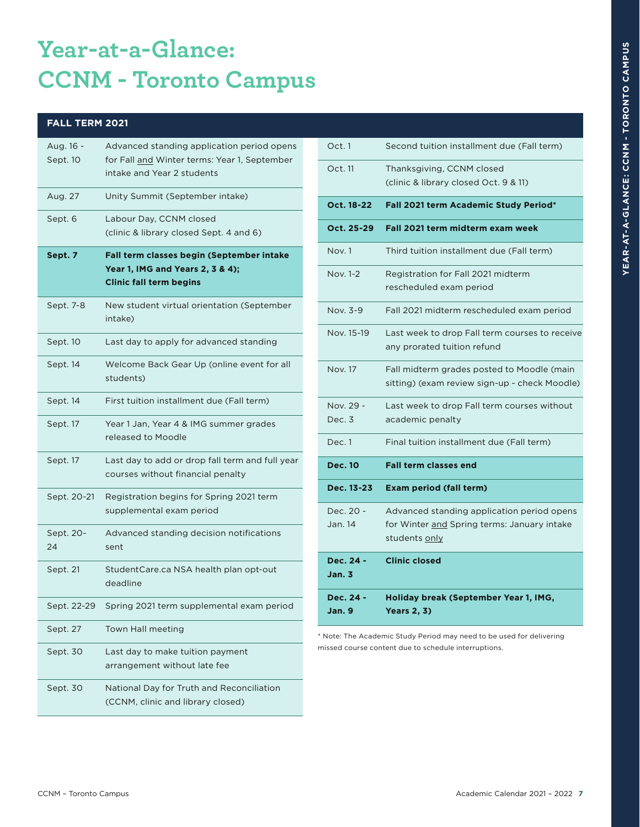# **Year-at-a-Glance: CCNM - Toronto Campus**

#### **FALL TERM 2021**

| Aug. 16 -<br>Sept. 10 | Advanced standing application period opens<br>for Fall and Winter terms: Year 1, September<br>intake and Year 2 students |
|-----------------------|--------------------------------------------------------------------------------------------------------------------------|
| Aug. 27               | Unity Summit (September intake)                                                                                          |
| Sept. 6               | Labour Day, CCNM closed<br>(clinic & library closed Sept. 4 and 6)                                                       |
| Sept. 7               | Fall term classes begin (September intake<br>Year 1, IMG and Years 2, 3 & 4);<br><b>Clinic fall term begins</b>          |
| Sept. 7-8             | New student virtual orientation (September<br>intake)                                                                    |
| Sept. 10              | Last day to apply for advanced standing                                                                                  |
| Sept. 14              | Welcome Back Gear Up (online event for all<br>students)                                                                  |
| Sept. 14              | First tuition installment due (Fall term)                                                                                |
| Sept. 17              | Year 1 Jan, Year 4 & IMG summer grades<br>released to Moodle                                                             |
| Sept. 17              | Last day to add or drop fall term and full year<br>courses without financial penalty                                     |
| Sept. 20-21           | Registration begins for Spring 2021 term<br>supplemental exam period                                                     |
| Sept. 20-<br>24       | Advanced standing decision notifications<br>sent                                                                         |
| Sept. 21              | StudentCare.ca NSA health plan opt-out<br>deadline                                                                       |
| Sept. 22-29           | Spring 2021 term supplemental exam period                                                                                |
| Sept. 27              | Town Hall meeting                                                                                                        |
| Sept. 30              | Last day to make tuition payment<br>arrangement without late fee                                                         |
| Sept. 30              | National Day for Truth and Reconciliation<br>(CCNM, clinic and library closed)                                           |

| Oct. 1               | Second tuition installment due (Fall term)                                                                 |
|----------------------|------------------------------------------------------------------------------------------------------------|
| Oct. 11              | Thanksgiving, CCNM closed<br>(clinic & library closed Oct. 9 & 11)                                         |
| Oct. 18-22           | Fall 2021 term Academic Study Period*                                                                      |
| Oct. 25-29           | Fall 2021 term midterm exam week                                                                           |
| Nov. 1               | Third tuition installment due (Fall term)                                                                  |
| Nov. 1-2             | Registration for Fall 2021 midterm<br>rescheduled exam period                                              |
| Nov. 3-9             | Fall 2021 midterm rescheduled exam period                                                                  |
| Nov. 15-19           | Last week to drop Fall term courses to receive<br>any prorated tuition refund                              |
| <b>Nov. 17</b>       | Fall midterm grades posted to Moodle (main<br>sitting) (exam review sign-up - check Moodle)                |
| Nov. 29 -<br>Dec. 3  | Last week to drop Fall term courses without<br>academic penalty                                            |
| Dec. 1               | Final tuition installment due (Fall term)                                                                  |
| <b>Dec. 10</b>       | <b>Fall term classes end</b>                                                                               |
| Dec. 13-23           | <b>Exam period (fall term)</b>                                                                             |
| Dec. 20 -<br>Jan. 14 | Advanced standing application period opens<br>for Winter and Spring terms: January intake<br>students only |
| Dec. 24 -<br>Jan. 3  | <b>Clinic closed</b>                                                                                       |
| Dec. 24 -<br>Jan. 9  | Holiday break (September Year 1, IMG,<br><b>Years 2, 3)</b>                                                |

\* Note: The Academic Study Period may need to be used for delivering missed course content due to schedule interruptions.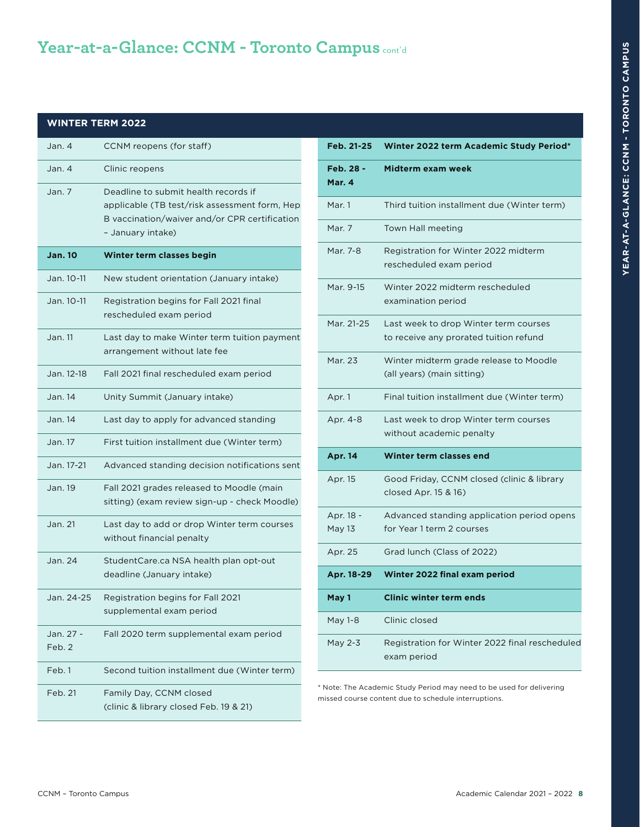### **Year-at-a-Glance: CCNM - Toronto Campus** cont'd

#### **WINTER TERM 2022**

| Jan. 4              | CCNM reopens (for staff)                                                                                                                                    |
|---------------------|-------------------------------------------------------------------------------------------------------------------------------------------------------------|
| Jan. 4              | Clinic reopens                                                                                                                                              |
| Jan. 7              | Deadline to submit health records if<br>applicable (TB test/risk assessment form, Hep<br>B vaccination/waiver and/or CPR certification<br>- January intake) |
| <b>Jan. 10</b>      | <b>Winter term classes begin</b>                                                                                                                            |
| Jan. 10-11          | New student orientation (January intake)                                                                                                                    |
| Jan. 10-11          | Registration begins for Fall 2021 final<br>rescheduled exam period                                                                                          |
| Jan. 11             | Last day to make Winter term tuition payment<br>arrangement without late fee                                                                                |
| Jan. 12-18          | Fall 2021 final rescheduled exam period                                                                                                                     |
| Jan. 14             | Unity Summit (January intake)                                                                                                                               |
| Jan. 14             | Last day to apply for advanced standing                                                                                                                     |
| Jan. 17             | First tuition installment due (Winter term)                                                                                                                 |
| Jan. 17-21          | Advanced standing decision notifications sent                                                                                                               |
| Jan. 19             | Fall 2021 grades released to Moodle (main<br>sitting) (exam review sign-up - check Moodle)                                                                  |
| Jan. 21             | Last day to add or drop Winter term courses<br>without financial penalty                                                                                    |
| Jan. 24             | StudentCare.ca NSA health plan opt-out<br>deadline (January intake)                                                                                         |
| Jan. 24-25          | Registration begins for Fall 2021<br>supplemental exam period                                                                                               |
| Jan. 27 -<br>Feb. 2 | Fall 2020 term supplemental exam period                                                                                                                     |
| Feb. 1              | Second tuition installment due (Winter term)                                                                                                                |
| Feb. 21             | Family Day, CCNM closed<br>(clinic & library closed Feb. 19 & 21)                                                                                           |

| Feb. 21-25          | Winter 2022 term Academic Study Period*                                         |
|---------------------|---------------------------------------------------------------------------------|
| Feb. 28 -<br>Mar. 4 | Midterm exam week                                                               |
| Mar. 1              | Third tuition installment due (Winter term)                                     |
| Mar. 7              | Town Hall meeting                                                               |
| Mar. 7-8            | Registration for Winter 2022 midterm<br>rescheduled exam period                 |
| Mar. 9-15           | Winter 2022 midterm rescheduled<br>examination period                           |
| Mar. 21-25          | Last week to drop Winter term courses<br>to receive any prorated tuition refund |
| Mar. 23             | Winter midterm grade release to Moodle<br>(all years) (main sitting)            |
| Apr. 1              | Final tuition installment due (Winter term)                                     |
| Apr. 4-8            | Last week to drop Winter term courses<br>without academic penalty               |
| <b>Apr. 14</b>      | Winter term classes end                                                         |
| Apr. 15             | Good Friday, CCNM closed (clinic & library<br>closed Apr. 15 & 16)              |
| Apr. 18 -<br>May 13 | Advanced standing application period opens<br>for Year 1 term 2 courses         |
| Apr. 25             | Grad lunch (Class of 2022)                                                      |
| Apr. 18-29          | Winter 2022 final exam period                                                   |
| May 1               | <b>Clinic winter term ends</b>                                                  |
| May 1-8             | Clinic closed                                                                   |
| May 2-3             | Registration for Winter 2022 final rescheduled<br>exam period                   |

\* Note: The Academic Study Period may need to be used for delivering missed course content due to schedule interruptions.